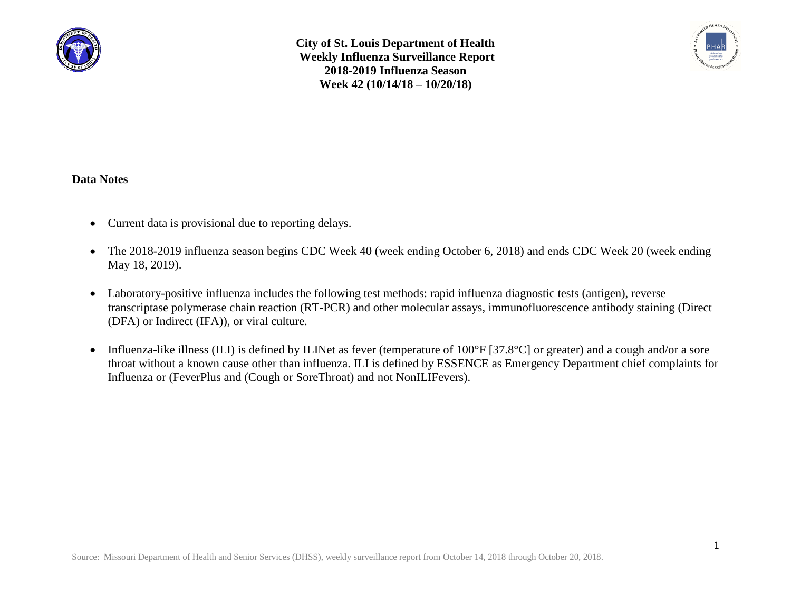

**City of St. Louis Department of Health Weekly Influenza Surveillance Report 2018-2019 Influenza Season Week 42 (10/14/18 – 10/20/18)**



## **Data Notes**

- Current data is provisional due to reporting delays.
- The 2018-2019 influenza season begins CDC Week 40 (week ending October 6, 2018) and ends CDC Week 20 (week ending May 18, 2019).
- Laboratory-positive influenza includes the following test methods: rapid influenza diagnostic tests (antigen), reverse transcriptase polymerase chain reaction (RT-PCR) and other molecular assays, immunofluorescence antibody staining (Direct (DFA) or Indirect (IFA)), or viral culture.
- Influenza-like illness (ILI) is defined by ILINet as fever (temperature of 100°F [37.8°C] or greater) and a cough and/or a sore throat without a known cause other than influenza. ILI is defined by ESSENCE as Emergency Department chief complaints for Influenza or (FeverPlus and (Cough or SoreThroat) and not NonILIFevers).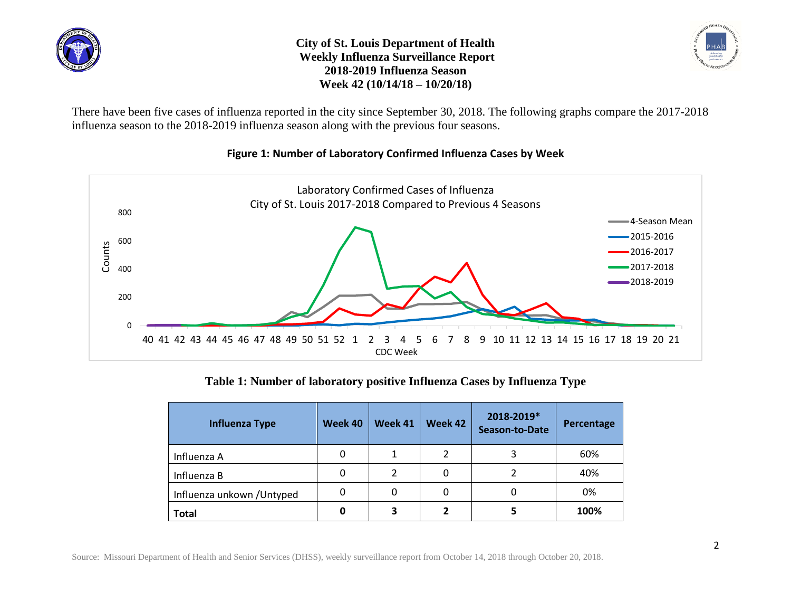

**City of St. Louis Department of Health Weekly Influenza Surveillance Report 2018-2019 Influenza Season Week 42 (10/14/18 – 10/20/18)**



There have been five cases of influenza reported in the city since September 30, 2018. The following graphs compare the 2017-2018 influenza season to the 2018-2019 influenza season along with the previous four seasons.



## **Figure 1: Number of Laboratory Confirmed Influenza Cases by Week**

**Table 1: Number of laboratory positive Influenza Cases by Influenza Type**

| <b>Influenza Type</b>      | Week 40 | Week 41 | Week 42 | 2018-2019*<br><b>Season-to-Date</b> | Percentage |
|----------------------------|---------|---------|---------|-------------------------------------|------------|
| Influenza A                | 0       | 1       | 2       | 3                                   | 60%        |
| Influenza B                | 0       | 2       | 0       |                                     | 40%        |
| Influenza unkown / Untyped | 0       | 0       | 0       | 0                                   | 0%         |
| <b>Total</b>               | 0       | 3       |         |                                     | 100%       |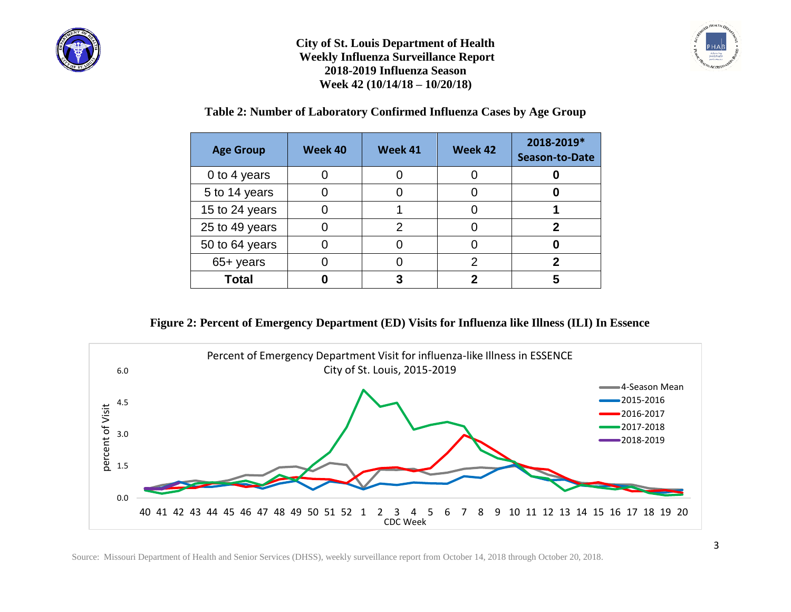





**Table 2: Number of Laboratory Confirmed Influenza Cases by Age Group**

| <b>Age Group</b> | Week 40 | Week 41 | Week 42 | 2018-2019*<br><b>Season-to-Date</b> |
|------------------|---------|---------|---------|-------------------------------------|
| 0 to 4 years     |         |         |         |                                     |
| 5 to 14 years    |         |         |         |                                     |
| 15 to 24 years   |         |         |         |                                     |
| 25 to 49 years   |         | 2       |         |                                     |
| 50 to 64 years   |         |         |         |                                     |
| 65+ years        |         |         | າ       |                                     |
| <b>Total</b>     |         |         |         |                                     |

**Figure 2: Percent of Emergency Department (ED) Visits for Influenza like Illness (ILI) In Essence** 



Source: Missouri Department of Health and Senior Services (DHSS), weekly surveillance report from October 14, 2018 through October 20, 2018.